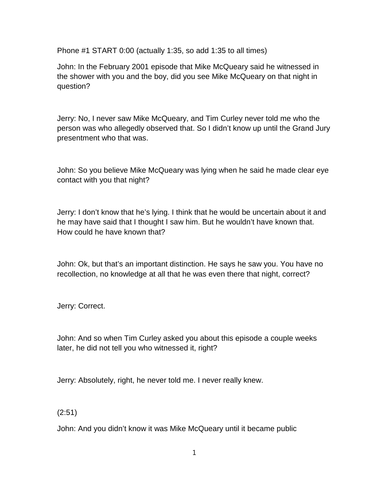Phone #1 START 0:00 (actually 1:35, so add 1:35 to all times)

John: In the February 2001 episode that Mike McQueary said he witnessed in the shower with you and the boy, did you see Mike McQueary on that night in question?

Jerry: No, I never saw Mike McQueary, and Tim Curley never told me who the person was who allegedly observed that. So I didn't know up until the Grand Jury presentment who that was.

John: So you believe Mike McQueary was lying when he said he made clear eye contact with you that night?

Jerry: I don't know that he's lying. I think that he would be uncertain about it and he may have said that I thought I saw him. But he wouldn't have known that. How could he have known that?

John: Ok, but that's an important distinction. He says he saw you. You have no recollection, no knowledge at all that he was even there that night, correct?

Jerry: Correct.

John: And so when Tim Curley asked you about this episode a couple weeks later, he did not tell you who witnessed it, right?

Jerry: Absolutely, right, he never told me. I never really knew.

(2:51)

John: And you didn't know it was Mike McQueary until it became public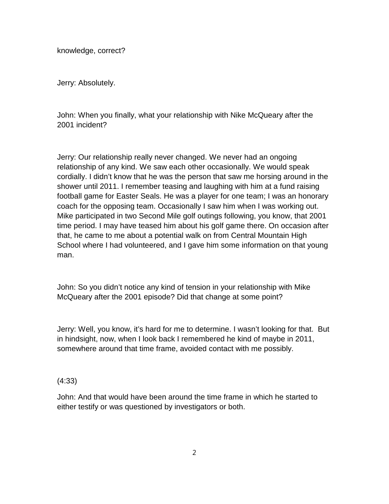knowledge, correct?

Jerry: Absolutely.

John: When you finally, what your relationship with Nike McQueary after the 2001 incident?

Jerry: Our relationship really never changed. We never had an ongoing relationship of any kind. We saw each other occasionally. We would speak cordially. I didn't know that he was the person that saw me horsing around in the shower until 2011. I remember teasing and laughing with him at a fund raising football game for Easter Seals. He was a player for one team; I was an honorary coach for the opposing team. Occasionally I saw him when I was working out. Mike participated in two Second Mile golf outings following, you know, that 2001 time period. I may have teased him about his golf game there. On occasion after that, he came to me about a potential walk on from Central Mountain High School where I had volunteered, and I gave him some information on that young man.

John: So you didn't notice any kind of tension in your relationship with Mike McQueary after the 2001 episode? Did that change at some point?

Jerry: Well, you know, it's hard for me to determine. I wasn't looking for that. But in hindsight, now, when I look back I remembered he kind of maybe in 2011, somewhere around that time frame, avoided contact with me possibly.

## (4:33)

John: And that would have been around the time frame in which he started to either testify or was questioned by investigators or both.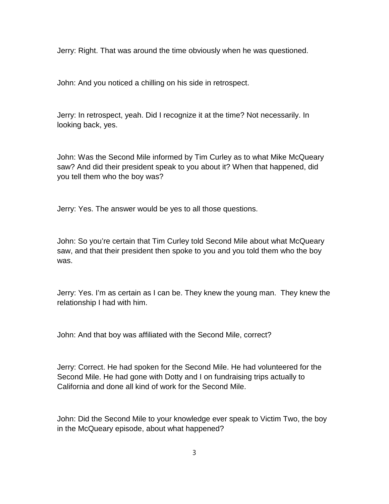Jerry: Right. That was around the time obviously when he was questioned.

John: And you noticed a chilling on his side in retrospect.

Jerry: In retrospect, yeah. Did I recognize it at the time? Not necessarily. In looking back, yes.

John: Was the Second Mile informed by Tim Curley as to what Mike McQueary saw? And did their president speak to you about it? When that happened, did you tell them who the boy was?

Jerry: Yes. The answer would be yes to all those questions.

John: So you're certain that Tim Curley told Second Mile about what McQueary saw, and that their president then spoke to you and you told them who the boy was.

Jerry: Yes. I'm as certain as I can be. They knew the young man. They knew the relationship I had with him.

John: And that boy was affiliated with the Second Mile, correct?

Jerry: Correct. He had spoken for the Second Mile. He had volunteered for the Second Mile. He had gone with Dotty and I on fundraising trips actually to California and done all kind of work for the Second Mile.

John: Did the Second Mile to your knowledge ever speak to Victim Two, the boy in the McQueary episode, about what happened?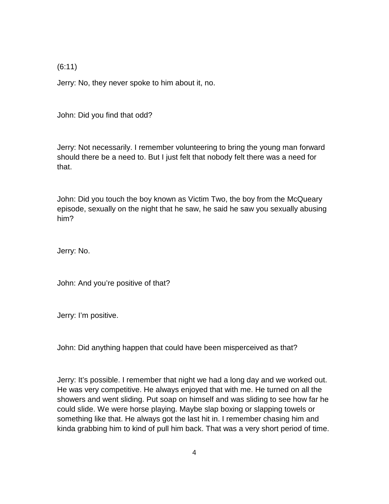(6:11)

Jerry: No, they never spoke to him about it, no.

John: Did you find that odd?

Jerry: Not necessarily. I remember volunteering to bring the young man forward should there be a need to. But I just felt that nobody felt there was a need for that.

John: Did you touch the boy known as Victim Two, the boy from the McQueary episode, sexually on the night that he saw, he said he saw you sexually abusing him?

Jerry: No.

John: And you're positive of that?

Jerry: I'm positive.

John: Did anything happen that could have been misperceived as that?

Jerry: It's possible. I remember that night we had a long day and we worked out. He was very competitive. He always enjoyed that with me. He turned on all the showers and went sliding. Put soap on himself and was sliding to see how far he could slide. We were horse playing. Maybe slap boxing or slapping towels or something like that. He always got the last hit in. I remember chasing him and kinda grabbing him to kind of pull him back. That was a very short period of time.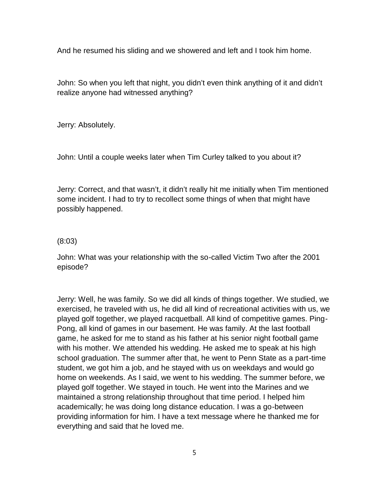And he resumed his sliding and we showered and left and I took him home.

John: So when you left that night, you didn't even think anything of it and didn't realize anyone had witnessed anything?

Jerry: Absolutely.

John: Until a couple weeks later when Tim Curley talked to you about it?

Jerry: Correct, and that wasn't, it didn't really hit me initially when Tim mentioned some incident. I had to try to recollect some things of when that might have possibly happened.

#### (8:03)

John: What was your relationship with the so-called Victim Two after the 2001 episode?

Jerry: Well, he was family. So we did all kinds of things together. We studied, we exercised, he traveled with us, he did all kind of recreational activities with us, we played golf together, we played racquetball. All kind of competitive games. Ping- Pong, all kind of games in our basement. He was family. At the last football game, he asked for me to stand as his father at his senior night football game with his mother. We attended his wedding. He asked me to speak at his high school graduation. The summer after that, he went to Penn State as a part-time student, we got him a job, and he stayed with us on weekdays and would go home on weekends. As I said, we went to his wedding. The summer before, we played golf together. We stayed in touch. He went into the Marines and we maintained a strong relationship throughout that time period. I helped him academically; he was doing long distance education. I was a go-between providing information for him. I have a text message where he thanked me for everything and said that he loved me.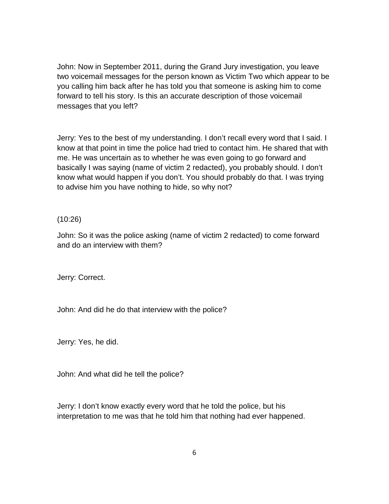John: Now in September 2011, during the Grand Jury investigation, you leave two voicemail messages for the person known as Victim Two which appear to be you calling him back after he has told you that someone is asking him to come forward to tell his story. Is this an accurate description of those voicemail messages that you left?

Jerry: Yes to the best of my understanding. I don't recall every word that I said. I know at that point in time the police had tried to contact him. He shared that with me. He was uncertain as to whether he was even going to go forward and basically I was saying (name of victim 2 redacted), you probably should. I don't know what would happen if you don't. You should probably do that. I was trying to advise him you have nothing to hide, so why not?

## (10:26)

John: So it was the police asking (name of victim 2 redacted) to come forward and do an interview with them?

Jerry: Correct.

John: And did he do that interview with the police?

Jerry: Yes, he did.

John: And what did he tell the police?

Jerry: I don't know exactly every word that he told the police, but his interpretation to me was that he told him that nothing had ever happened.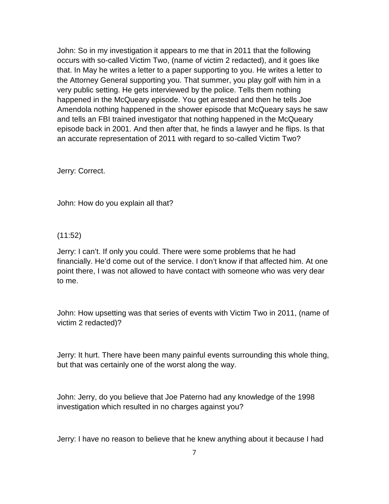John: So in my investigation it appears to me that in 2011 that the following occurs with so-called Victim Two, (name of victim 2 redacted), and it goes like that. In May he writes a letter to a paper supporting to you. He writes a letter to the Attorney General supporting you. That summer, you play golf with him in a very public setting. He gets interviewed by the police. Tells them nothing happened in the McQueary episode. You get arrested and then he tells Joe Amendola nothing happened in the shower episode that McQueary says he saw and tells an FBI trained investigator that nothing happened in the McQueary episode back in 2001. And then after that, he finds a lawyer and he flips. Is that an accurate representation of 2011 with regard to so-called Victim Two?

Jerry: Correct.

John: How do you explain all that?

(11:52)

Jerry: I can't. If only you could. There were some problems that he had financially. He'd come out of the service. I don't know if that affected him. At one point there, I was not allowed to have contact with someone who was very dear to me.

John: How upsetting was that series of events with Victim Two in 2011, (name of victim 2 redacted)?

Jerry: It hurt. There have been many painful events surrounding this whole thing, but that was certainly one of the worst along the way.

John: Jerry, do you believe that Joe Paterno had any knowledge of the 1998 investigation which resulted in no charges against you?

Jerry: I have no reason to believe that he knew anything about it because I had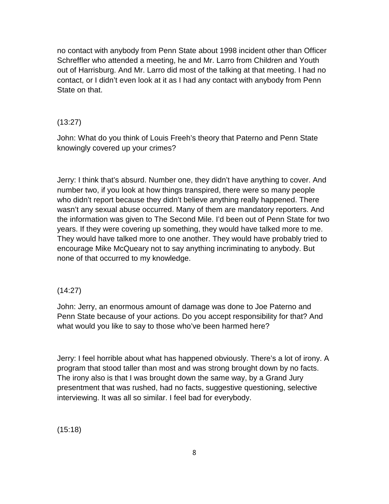no contact with anybody from Penn State about 1998 incident other than Officer Schreffler who attended a meeting, he and Mr. Larro from Children and Youth out of Harrisburg. And Mr. Larro did most of the talking at that meeting. I had no contact, or I didn't even look at it as I had any contact with anybody from Penn State on that.

# (13:27)

John: What do you think of Louis Freeh's theory that Paterno and Penn State knowingly covered up your crimes?

Jerry: I think that's absurd. Number one, they didn't have anything to cover. And number two, if you look at how things transpired, there were so many people who didn't report because they didn't believe anything really happened. There wasn't any sexual abuse occurred. Many of them are mandatory reporters. And the information was given to The Second Mile. I'd been out of Penn State for two years. If they were covering up something, they would have talked more to me. They would have talked more to one another. They would have probably tried to encourage Mike McQueary not to say anything incriminating to anybody. But none of that occurred to my knowledge.

## (14:27)

John: Jerry, an enormous amount of damage was done to Joe Paterno and Penn State because of your actions. Do you accept responsibility for that? And what would you like to say to those who've been harmed here?

Jerry: I feel horrible about what has happened obviously. There's a lot of irony. A program that stood taller than most and was strong brought down by no facts. The irony also is that I was brought down the same way, by a Grand Jury presentment that was rushed, had no facts, suggestive questioning, selective interviewing. It was all so similar. I feel bad for everybody.

(15:18)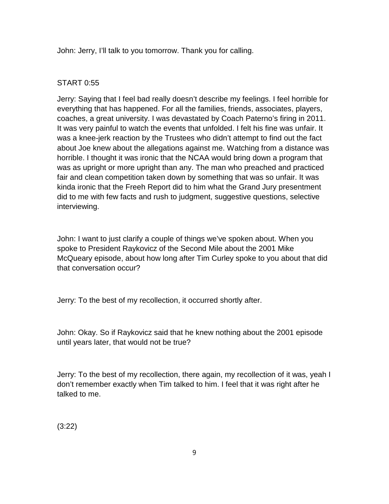John: Jerry, I'll talk to you tomorrow. Thank you for calling.

#### START 0:55

Jerry: Saying that I feel bad really doesn't describe my feelings. I feel horrible for everything that has happened. For all the families, friends, associates, players, coaches, a great university. I was devastated by Coach Paterno's firing in 2011. It was very painful to watch the events that unfolded. I felt his fine was unfair. It was a knee-jerk reaction by the Trustees who didn't attempt to find out the fact about Joe knew about the allegations against me. Watching from a distance was horrible. I thought it was ironic that the NCAA would bring down a program that was as upright or more upright than any. The man who preached and practiced fair and clean competition taken down by something that was so unfair. It was kinda ironic that the Freeh Report did to him what the Grand Jury presentment did to me with few facts and rush to judgment, suggestive questions, selective interviewing.

John: I want to just clarify a couple of things we've spoken about. When you spoke to President Raykovicz of the Second Mile about the 2001 Mike McQueary episode, about how long after Tim Curley spoke to you about that did that conversation occur?

Jerry: To the best of my recollection, it occurred shortly after.

John: Okay. So if Raykovicz said that he knew nothing about the 2001 episode until years later, that would not be true?

Jerry: To the best of my recollection, there again, my recollection of it was, yeah I don't remember exactly when Tim talked to him. I feel that it was right after he talked to me.

(3:22)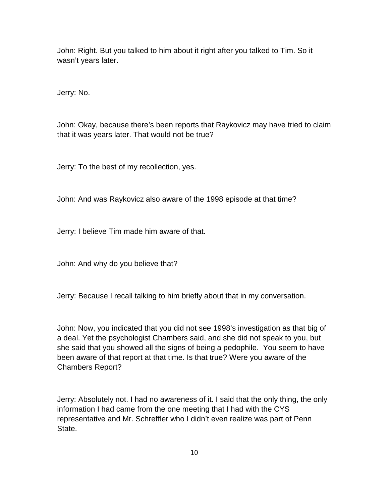John: Right. But you talked to him about it right after you talked to Tim. So it wasn't years later.

Jerry: No.

John: Okay, because there's been reports that Raykovicz may have tried to claim that it was years later. That would not be true?

Jerry: To the best of my recollection, yes.

John: And was Raykovicz also aware of the 1998 episode at that time?

Jerry: I believe Tim made him aware of that.

John: And why do you believe that?

Jerry: Because I recall talking to him briefly about that in my conversation.

John: Now, you indicated that you did not see 1998's investigation as that big of a deal. Yet the psychologist Chambers said, and she did not speak to you, but she said that you showed all the signs of being a pedophile. You seem to have been aware of that report at that time. Is that true? Were you aware of the Chambers Report?

Jerry: Absolutely not. I had no awareness of it. I said that the only thing, the only information I had came from the one meeting that I had with the CYS representative and Mr. Schreffler who I didn't even realize was part of Penn State.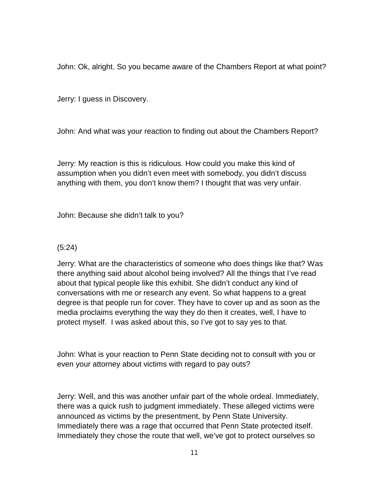John: Ok, alright. So you became aware of the Chambers Report at what point?

Jerry: I guess in Discovery.

John: And what was your reaction to finding out about the Chambers Report?

Jerry: My reaction is this is ridiculous. How could you make this kind of assumption when you didn't even meet with somebody, you didn't discuss anything with them, you don't know them? I thought that was very unfair.

John: Because she didn't talk to you?

## (5:24)

Jerry: What are the characteristics of someone who does things like that? Was there anything said about alcohol being involved? All the things that I've read about that typical people like this exhibit. She didn't conduct any kind of conversations with me or research any event. So what happens to a great degree is that people run for cover. They have to cover up and as soon as the media proclaims everything the way they do then it creates, well, I have to protect myself. I was asked about this, so I've got to say yes to that.

John: What is your reaction to Penn State deciding not to consult with you or even your attorney about victims with regard to pay outs?

Jerry: Well, and this was another unfair part of the whole ordeal. Immediately, there was a quick rush to judgment immediately. These alleged victims were announced as victims by the presentment, by Penn State University. Immediately there was a rage that occurred that Penn State protected itself. Immediately they chose the route that well, we've got to protect ourselves so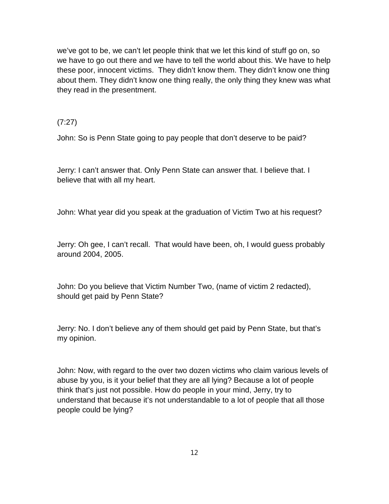we've got to be, we can't let people think that we let this kind of stuff go on, so we have to go out there and we have to tell the world about this. We have to help these poor, innocent victims. They didn't know them. They didn't know one thing about them. They didn't know one thing really, the only thing they knew was what they read in the presentment.

#### (7:27)

John: So is Penn State going to pay people that don't deserve to be paid?

Jerry: I can't answer that. Only Penn State can answer that. I believe that. I believe that with all my heart.

John: What year did you speak at the graduation of Victim Two at his request?

Jerry: Oh gee, I can't recall. That would have been, oh, I would guess probably around 2004, 2005.

John: Do you believe that Victim Number Two, (name of victim 2 redacted), should get paid by Penn State?

Jerry: No. I don't believe any of them should get paid by Penn State, but that's my opinion.

John: Now, with regard to the over two dozen victims who claim various levels of abuse by you, is it your belief that they are all lying? Because a lot of people think that's just not possible. How do people in your mind, Jerry, try to understand that because it's not understandable to a lot of people that all those people could be lying?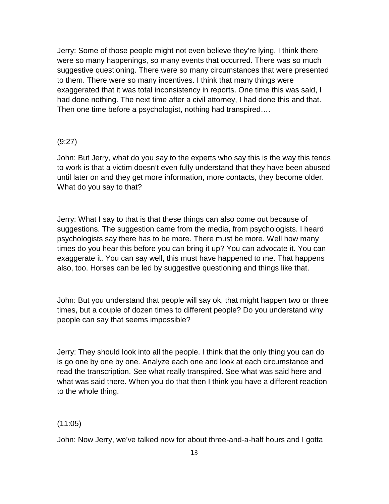Jerry: Some of those people might not even believe they're lying. I think there were so many happenings, so many events that occurred. There was so much suggestive questioning. There were so many circumstances that were presented to them. There were so many incentives. I think that many things were exaggerated that it was total inconsistency in reports. One time this was said, I had done nothing. The next time after a civil attorney, I had done this and that. Then one time before a psychologist, nothing had transpired….

#### (9:27)

John: But Jerry, what do you say to the experts who say this is the way this tends to work is that a victim doesn't even fully understand that they have been abused until later on and they get more information, more contacts, they become older. What do you say to that?

Jerry: What I say to that is that these things can also come out because of suggestions. The suggestion came from the media, from psychologists. I heard psychologists say there has to be more. There must be more. Well how many times do you hear this before you can bring it up? You can advocate it. You can exaggerate it. You can say well, this must have happened to me. That happens also, too. Horses can be led by suggestive questioning and things like that.

John: But you understand that people will say ok, that might happen two or three times, but a couple of dozen times to different people? Do you understand why people can say that seems impossible?

Jerry: They should look into all the people. I think that the only thing you can do is go one by one by one. Analyze each one and look at each circumstance and read the transcription. See what really transpired. See what was said here and what was said there. When you do that then I think you have a different reaction to the whole thing.

#### (11:05)

John: Now Jerry, we've talked now for about three-and-a-half hours and I gotta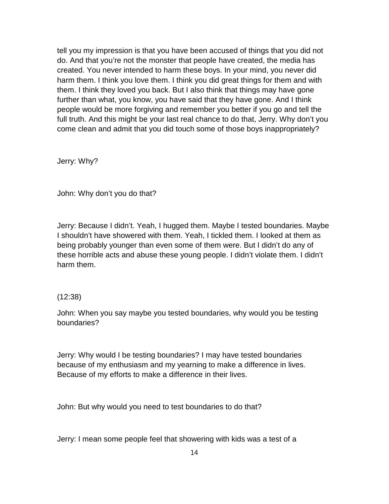tell you my impression is that you have been accused of things that you did not do. And that you're not the monster that people have created, the media has created. You never intended to harm these boys. In your mind, you never did harm them. I think you love them. I think you did great things for them and with them. I think they loved you back. But I also think that things may have gone further than what, you know, you have said that they have gone. And I think people would be more forgiving and remember you better if you go and tell the full truth. And this might be your last real chance to do that, Jerry. Why don't you come clean and admit that you did touch some of those boys inappropriately?

Jerry: Why?

John: Why don't you do that?

Jerry: Because I didn't. Yeah, I hugged them. Maybe I tested boundaries. Maybe I shouldn't have showered with them. Yeah, I tickled them. I looked at them as being probably younger than even some of them were. But I didn't do any of these horrible acts and abuse these young people. I didn't violate them. I didn't harm them.

## (12:38)

John: When you say maybe you tested boundaries, why would you be testing boundaries?

Jerry: Why would I be testing boundaries? I may have tested boundaries because of my enthusiasm and my yearning to make a difference in lives. Because of my efforts to make a difference in their lives.

John: But why would you need to test boundaries to do that?

Jerry: I mean some people feel that showering with kids was a test of a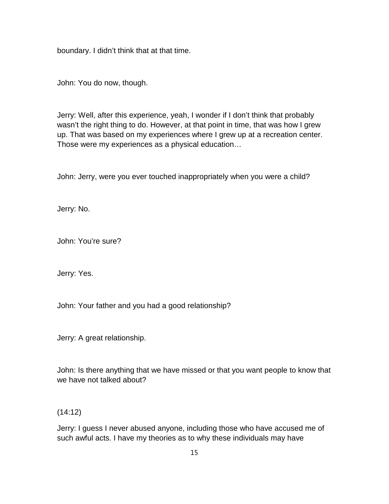boundary. I didn't think that at that time.

John: You do now, though.

Jerry: Well, after this experience, yeah, I wonder if I don't think that probably wasn't the right thing to do. However, at that point in time, that was how I grew up. That was based on my experiences where I grew up at a recreation center. Those were my experiences as a physical education…

John: Jerry, were you ever touched inappropriately when you were a child?

Jerry: No.

John: You're sure?

Jerry: Yes.

John: Your father and you had a good relationship?

Jerry: A great relationship.

John: Is there anything that we have missed or that you want people to know that we have not talked about?

(14:12)

Jerry: I guess I never abused anyone, including those who have accused me of such awful acts. I have my theories as to why these individuals may have